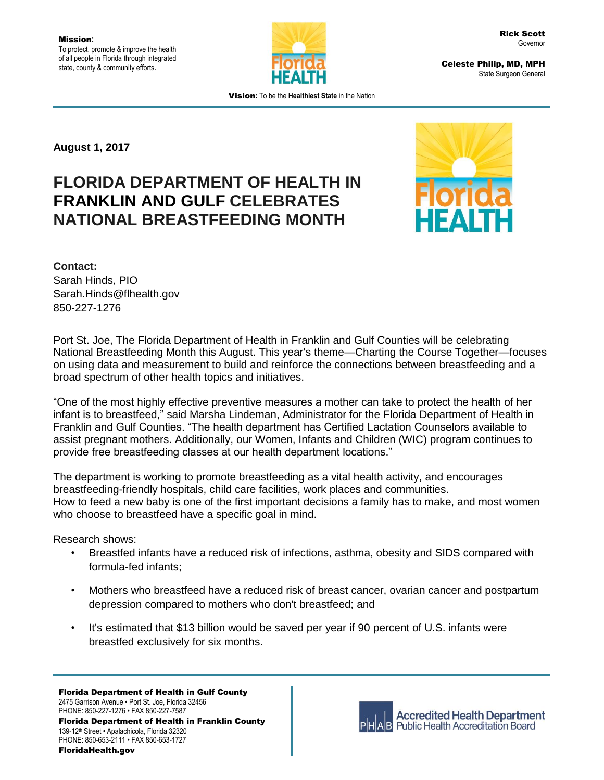

Celeste Philip, MD, MPH State Surgeon General

Vision**:** To be the **Healthiest State** in the Nation

**August 1, 2017**

## **FLORIDA DEPARTMENT OF HEALTH IN FRANKLIN AND GULF CELEBRATES NATIONAL BREASTFEEDING MONTH**



## **Contact:**

Sarah Hinds, PIO Sarah.Hinds@flhealth.gov 850-227-1276

Port St. Joe, The Florida Department of Health in Franklin and Gulf Counties will be celebrating National Breastfeeding Month this August. This year's theme—Charting the Course Together—focuses on using data and measurement to build and reinforce the connections between breastfeeding and a broad spectrum of other health topics and initiatives.

"One of the most highly effective preventive measures a mother can take to protect the health of her infant is to breastfeed," said Marsha Lindeman, Administrator for the Florida Department of Health in Franklin and Gulf Counties. "The health department has Certified Lactation Counselors available to assist pregnant mothers. Additionally, our Women, Infants and Children (WIC) program continues to provide free breastfeeding classes at our health department locations."

The department is working to promote breastfeeding as a vital health activity, and encourages breastfeeding-friendly hospitals, child care facilities, work places and communities. How to feed a new baby is one of the first important decisions a family has to make, and most women who choose to breastfeed have a specific goal in mind.

Research shows:

- Breastfed infants have a reduced risk of infections, asthma, obesity and SIDS compared with formula-fed infants;
- Mothers who breastfeed have a reduced risk of breast cancer, ovarian cancer and postpartum depression compared to mothers who don't breastfeed; and
- It's estimated that \$13 billion would be saved per year if 90 percent of U.S. infants were breastfed exclusively for six months.

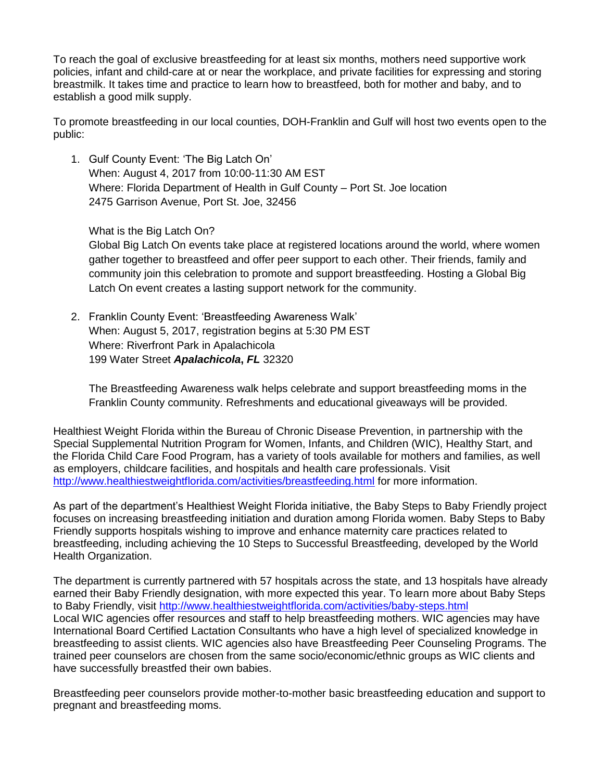To reach the goal of exclusive breastfeeding for at least six months, mothers need supportive work policies, infant and child-care at or near the workplace, and private facilities for expressing and storing breastmilk. It takes time and practice to learn how to breastfeed, both for mother and baby, and to establish a good milk supply.

To promote breastfeeding in our local counties, DOH-Franklin and Gulf will host two events open to the public:

1. Gulf County Event: 'The Big Latch On' When: August 4, 2017 from 10:00-11:30 AM EST Where: Florida Department of Health in Gulf County – Port St. Joe location 2475 Garrison Avenue, Port St. Joe, 32456

What is the Big Latch On?

Global Big Latch On events take place at registered locations around the world, where women gather together to breastfeed and offer peer support to each other. Their friends, family and community join this celebration to promote and support breastfeeding. Hosting a Global Big Latch On event creates a lasting support network for the community.

2. Franklin County Event: 'Breastfeeding Awareness Walk' When: August 5, 2017, registration begins at 5:30 PM EST Where: Riverfront Park in Apalachicola 199 Water Street *Apalachicola***,** *FL* 32320

The Breastfeeding Awareness walk helps celebrate and support breastfeeding moms in the Franklin County community. Refreshments and educational giveaways will be provided.

Healthiest Weight Florida within the Bureau of Chronic Disease Prevention, in partnership with the Special Supplemental Nutrition Program for Women, Infants, and Children (WIC), Healthy Start, and the Florida Child Care Food Program, has a variety of tools available for mothers and families, as well as employers, childcare facilities, and hospitals and health care professionals. Visit <http://www.healthiestweightflorida.com/activities/breastfeeding.html> for more information.

As part of the department's Healthiest Weight Florida initiative, the Baby Steps to Baby Friendly project focuses on increasing breastfeeding initiation and duration among Florida women. Baby Steps to Baby Friendly supports hospitals wishing to improve and enhance maternity care practices related to breastfeeding, including achieving the 10 Steps to Successful Breastfeeding, developed by the World Health Organization.

The department is currently partnered with 57 hospitals across the state, and 13 hospitals have already earned their Baby Friendly designation, with more expected this year. To learn more about Baby Steps to Baby Friendly, visit<http://www.healthiestweightflorida.com/activities/baby-steps.html> Local WIC agencies offer resources and staff to help breastfeeding mothers. WIC agencies may have International Board Certified Lactation Consultants who have a high level of specialized knowledge in breastfeeding to assist clients. WIC agencies also have Breastfeeding Peer Counseling Programs. The trained peer counselors are chosen from the same socio/economic/ethnic groups as WIC clients and have successfully breastfed their own babies.

Breastfeeding peer counselors provide mother-to-mother basic breastfeeding education and support to pregnant and breastfeeding moms.